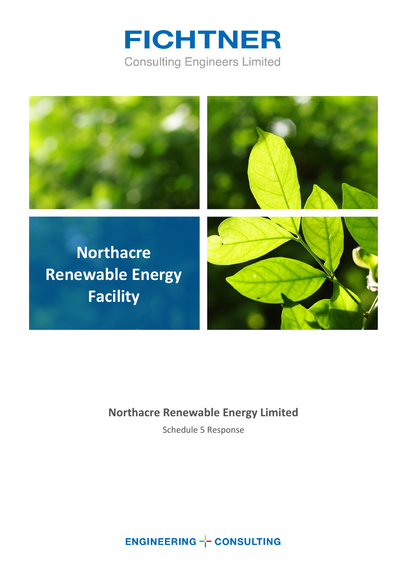



### **Northacre Renewable Energy Limited**

Schedule 5 Response

**ENGINEERING -- CONSULTING**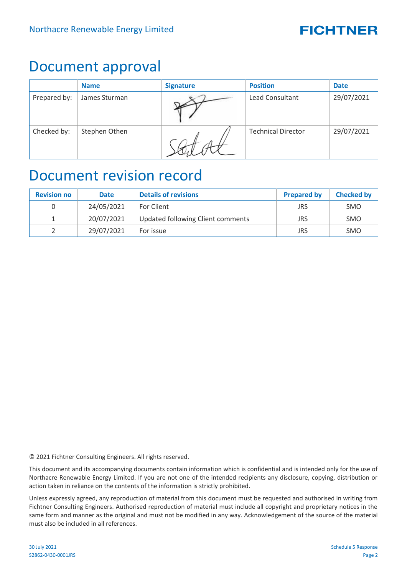## Document approval

|              | <b>Name</b>   | <b>Signature</b> | <b>Position</b>           | <b>Date</b> |
|--------------|---------------|------------------|---------------------------|-------------|
| Prepared by: | James Sturman |                  | <b>Lead Consultant</b>    | 29/07/2021  |
| Checked by:  | Stephen Othen |                  | <b>Technical Director</b> | 29/07/2021  |

### Document revision record

| <b>Revision no</b> | <b>Date</b> | <b>Details of revisions</b>       | <b>Prepared by</b> | <b>Checked by</b> |
|--------------------|-------------|-----------------------------------|--------------------|-------------------|
|                    | 24/05/2021  | <b>For Client</b>                 | <b>JRS</b>         | <b>SMO</b>        |
|                    | 20/07/2021  | Updated following Client comments | JRS                | <b>SMO</b>        |
|                    | 29/07/2021  | For issue                         | <b>JRS</b>         | <b>SMO</b>        |

© 2021 Fichtner Consulting Engineers. All rights reserved.

This document and its accompanying documents contain information which is confidential and is intended only for the use of Northacre Renewable Energy Limited. If you are not one of the intended recipients any disclosure, copying, distribution or action taken in reliance on the contents of the information is strictly prohibited.

Unless expressly agreed, any reproduction of material from this document must be requested and authorised in writing from Fichtner Consulting Engineers. Authorised reproduction of material must include all copyright and proprietary notices in the same form and manner as the original and must not be modified in any way. Acknowledgement of the source of the material must also be included in all references.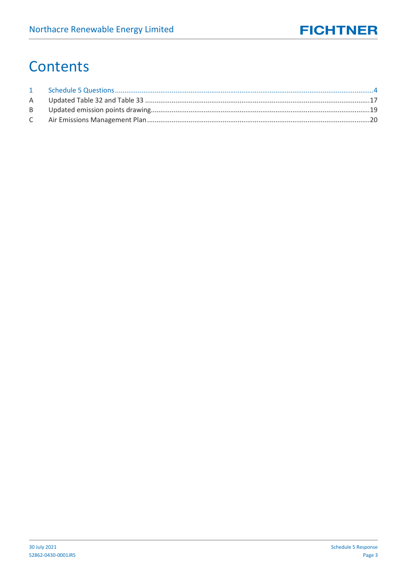## Contents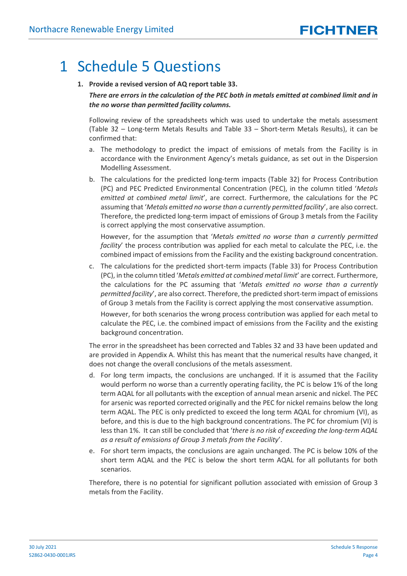## <span id="page-3-0"></span>1 Schedule 5 Questions

**1. Provide a revised version of AQ report table 33.**

*There are errors in the calculation of the PEC both in metals emitted at combined limit and in the no worse than permitted facility columns.*

Following review of the spreadsheets which was used to undertake the metals assessment (Table 32 – Long-term Metals Results and Table 33 – Short-term Metals Results), it can be confirmed that:

- a. The methodology to predict the impact of emissions of metals from the Facility is in accordance with the Environment Agency's metals guidance, as set out in the Dispersion Modelling Assessment.
- b. The calculations for the predicted long-term impacts (Table 32) for Process Contribution (PC) and PEC Predicted Environmental Concentration (PEC), in the column titled '*Metals emitted at combined metal limit*', are correct. Furthermore, the calculations for the PC assuming that '*Metals emitted no worse than a currently permitted facility*', are also correct. Therefore, the predicted long-term impact of emissions of Group 3 metals from the Facility is correct applying the most conservative assumption.

However, for the assumption that '*Metals emitted no worse than a currently permitted facility*' the process contribution was applied for each metal to calculate the PEC, i.e. the combined impact of emissions from the Facility and the existing background concentration.

c. The calculations for the predicted short-term impacts (Table 33) for Process Contribution (PC), in the column titled '*Metals emitted at combined metal limit*' are correct. Furthermore, the calculations for the PC assuming that '*Metals emitted no worse than a currently permitted facility*', are also correct. Therefore, the predicted short-term impact of emissions of Group 3 metals from the Facility is correct applying the most conservative assumption.

However, for both scenarios the wrong process contribution was applied for each metal to calculate the PEC, i.e. the combined impact of emissions from the Facility and the existing background concentration.

The error in the spreadsheet has been corrected and Tables 32 and 33 have been updated and are provided in Appendix A. Whilst this has meant that the numerical results have changed, it does not change the overall conclusions of the metals assessment.

- d. For long term impacts, the conclusions are unchanged. If it is assumed that the Facility would perform no worse than a currently operating facility, the PC is below 1% of the long term AQAL for all pollutants with the exception of annual mean arsenic and nickel. The PEC for arsenic was reported corrected originally and the PEC for nickel remains below the long term AQAL. The PEC is only predicted to exceed the long term AQAL for chromium (VI), as before, and this is due to the high background concentrations. The PC for chromium (VI) is less than 1%. It can still be concluded that '*there is no risk of exceeding the long-term AQAL as a result of emissions of Group 3 metals from the Facility*'.
- e. For short term impacts, the conclusions are again unchanged. The PC is below 10% of the short term AQAL and the PEC is below the short term AQAL for all pollutants for both scenarios.

Therefore, there is no potential for significant pollution associated with emission of Group 3 metals from the Facility.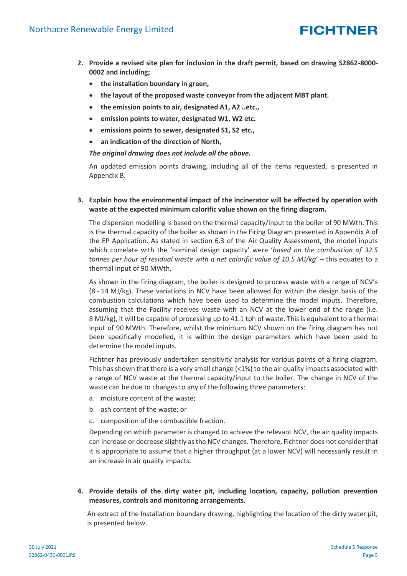- **2. Provide a revised site plan for inclusion in the draft permit, based on drawing S2862-8000- 0002 and including;**
	- **the installation boundary in green,**
	- **the layout of the proposed waste conveyor from the adjacent MBT plant.**
	- **the emission points to air, designated A1, A2 ..etc.,**
	- **emission points to water, designated W1, W2 etc.**
	- **emissions points to sewer, designated S1, S2 etc.,**
	- **an indication of the direction of North,**

*The original drawing does not include all the above.*

An updated emission points drawing, including all of the items requested, is presented in Appendix [B.](#page-18-0)

#### **3. Explain how the environmental impact of the incinerator will be affected by operation with waste at the expected minimum calorific value shown on the firing diagram.**

The dispersion modelling is based on the thermal capacity/input to the boiler of 90 MWth. This is the thermal capacity of the boiler as shown in the Firing Diagram presented in Appendix A of the EP Application. As stated in section 6.3 of the Air Quality Assessment, the model inputs which correlate with the 'nominal design capacity' were '*based on the combustion of 32.5 tonnes per hour of residual waste with a net calorific value of 10.5 MJ/kg*' – this equates to a thermal input of 90 MWth.

As shown in the firing diagram, the boiler is designed to process waste with a range of NCV's (8 - 14 MJ/kg). These variations in NCV have been allowed for within the design basis of the combustion calculations which have been used to determine the model inputs. Therefore, assuming that the Facility receives waste with an NCV at the lower end of the range (i.e. 8 MJ/kg), it will be capable of processing up to 41.1 tph of waste. This is equivalent to a thermal input of 90 MWth. Therefore, whilst the minimum NCV shown on the firing diagram has not been specifically modelled, it is within the design parameters which have been used to determine the model inputs.

Fichtner has previously undertaken sensitivity analysis for various points of a firing diagram. This has shown that there is a very small change (<1%) to the air quality impacts associated with a range of NCV waste at the thermal capacity/input to the boiler. The change in NCV of the waste can be due to changes to any of the following three parameters:

- a. moisture content of the waste;
- b. ash content of the waste; or
- c. composition of the combustible fraction.

Depending on which parameter is changed to achieve the relevant NCV, the air quality impacts can increase or decrease slightly as the NCV changes. Therefore, Fichtner does not consider that it is appropriate to assume that a higher throughput (at a lower NCV) will necessarily result in an increase in air quality impacts.

#### **4. Provide details of the dirty water pit, including location, capacity, pollution prevention measures, controls and monitoring arrangements.**

An extract of the Installation boundary drawing, highlighting the location of the dirty water pit, is presented below.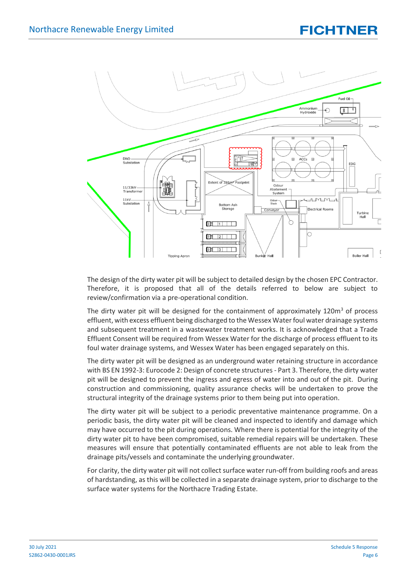

The design of the dirty water pit will be subject to detailed design by the chosen EPC Contractor. Therefore, it is proposed that all of the details referred to below are subject to review/confirmation via a pre-operational condition.

The dirty water pit will be designed for the containment of approximately 120 $m<sup>3</sup>$  of process effluent, with excess effluent being discharged to the Wessex Water foul water drainage systems and subsequent treatment in a wastewater treatment works. It is acknowledged that a Trade Effluent Consent will be required from Wessex Water for the discharge of process effluent to its foul water drainage systems, and Wessex Water has been engaged separately on this.

The dirty water pit will be designed as an underground water retaining structure in accordance with BS EN 1992-3: Eurocode 2: Design of concrete structures - Part 3. Therefore, the dirty water pit will be designed to prevent the ingress and egress of water into and out of the pit. During construction and commissioning, quality assurance checks will be undertaken to prove the structural integrity of the drainage systems prior to them being put into operation.

The dirty water pit will be subject to a periodic preventative maintenance programme. On a periodic basis, the dirty water pit will be cleaned and inspected to identify and damage which may have occurred to the pit during operations. Where there is potential for the integrity of the dirty water pit to have been compromised, suitable remedial repairs will be undertaken. These measures will ensure that potentially contaminated effluents are not able to leak from the drainage pits/vessels and contaminate the underlying groundwater.

For clarity, the dirty water pit will not collect surface water run-off from building roofs and areas of hardstanding, as this will be collected in a separate drainage system, prior to discharge to the surface water systems for the Northacre Trading Estate.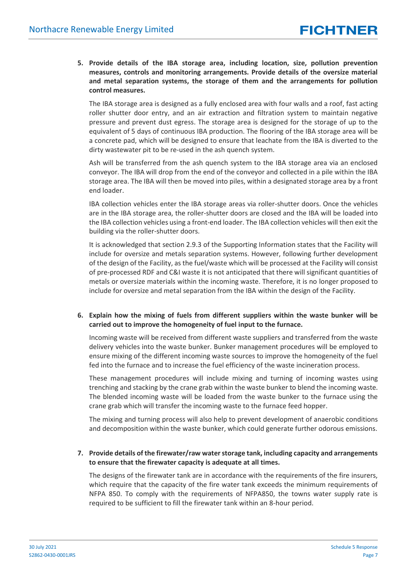**5. Provide details of the IBA storage area, including location, size, pollution prevention measures, controls and monitoring arrangements. Provide details of the oversize material and metal separation systems, the storage of them and the arrangements for pollution control measures.**

The IBA storage area is designed as a fully enclosed area with four walls and a roof, fast acting roller shutter door entry, and an air extraction and filtration system to maintain negative pressure and prevent dust egress. The storage area is designed for the storage of up to the equivalent of 5 days of continuous IBA production. The flooring of the IBA storage area will be a concrete pad, which will be designed to ensure that leachate from the IBA is diverted to the dirty wastewater pit to be re-used in the ash quench system.

Ash will be transferred from the ash quench system to the IBA storage area via an enclosed conveyor. The IBA will drop from the end of the conveyor and collected in a pile within the IBA storage area. The IBA will then be moved into piles, within a designated storage area by a front end loader.

IBA collection vehicles enter the IBA storage areas via roller-shutter doors. Once the vehicles are in the IBA storage area, the roller-shutter doors are closed and the IBA will be loaded into the IBA collection vehicles using a front-end loader. The IBA collection vehicles will then exit the building via the roller-shutter doors.

It is acknowledged that section 2.9.3 of the Supporting Information states that the Facility will include for oversize and metals separation systems. However, following further development of the design of the Facility, as the fuel/waste which will be processed at the Facility will consist of pre-processed RDF and C&I waste it is not anticipated that there will significant quantities of metals or oversize materials within the incoming waste. Therefore, it is no longer proposed to include for oversize and metal separation from the IBA within the design of the Facility.

**6. Explain how the mixing of fuels from different suppliers within the waste bunker will be carried out to improve the homogeneity of fuel input to the furnace.**

Incoming waste will be received from different waste suppliers and transferred from the waste delivery vehicles into the waste bunker. Bunker management procedures will be employed to ensure mixing of the different incoming waste sources to improve the homogeneity of the fuel fed into the furnace and to increase the fuel efficiency of the waste incineration process.

These management procedures will include mixing and turning of incoming wastes using trenching and stacking by the crane grab within the waste bunker to blend the incoming waste. The blended incoming waste will be loaded from the waste bunker to the furnace using the crane grab which will transfer the incoming waste to the furnace feed hopper.

The mixing and turning process will also help to prevent development of anaerobic conditions and decomposition within the waste bunker, which could generate further odorous emissions.

#### **7. Provide details of the firewater/raw water storage tank, including capacity and arrangements to ensure that the firewater capacity is adequate at all times.**

The designs of the firewater tank are in accordance with the requirements of the fire insurers, which require that the capacity of the fire water tank exceeds the minimum requirements of NFPA 850. To comply with the requirements of NFPA850, the towns water supply rate is required to be sufficient to fill the firewater tank within an 8-hour period.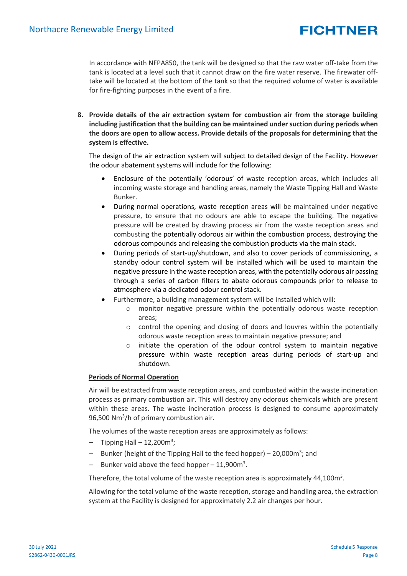In accordance with NFPA850, the tank will be designed so that the raw water off-take from the tank is located at a level such that it cannot draw on the fire water reserve. The firewater offtake will be located at the bottom of the tank so that the required volume of water is available for fire-fighting purposes in the event of a fire.

**8. Provide details of the air extraction system for combustion air from the storage building including justification that the building can be maintained under suction during periods when the doors are open to allow access. Provide details of the proposals for determining that the system is effective.**

The design of the air extraction system will subject to detailed design of the Facility. However the odour abatement systems will include for the following:

- Enclosure of the potentially 'odorous' of waste reception areas, which includes all incoming waste storage and handling areas, namely the Waste Tipping Hall and Waste Bunker.
- During normal operations, waste reception areas will be maintained under negative pressure, to ensure that no odours are able to escape the building. The negative pressure will be created by drawing process air from the waste reception areas and combusting the potentially odorous air within the combustion process, destroying the odorous compounds and releasing the combustion products via the main stack.
- During periods of start-up/shutdown, and also to cover periods of commissioning, a standby odour control system will be installed which will be used to maintain the negative pressure in the waste reception areas, with the potentially odorous air passing through a series of carbon filters to abate odorous compounds prior to release to atmosphere via a dedicated odour control stack.
- Furthermore, a building management system will be installed which will:
	- o monitor negative pressure within the potentially odorous waste reception areas;
	- o control the opening and closing of doors and louvres within the potentially odorous waste reception areas to maintain negative pressure; and
	- $\circ$  initiate the operation of the odour control system to maintain negative pressure within waste reception areas during periods of start-up and shutdown.

#### **Periods of Normal Operation**

Air will be extracted from waste reception areas, and combusted within the waste incineration process as primary combustion air. This will destroy any odorous chemicals which are present within these areas. The waste incineration process is designed to consume approximately 96,500 Nm<sup>3</sup>/h of primary combustion air.

The volumes of the waste reception areas are approximately as follows:

- $-$  Tipping Hall  $-$  12,200m<sup>3</sup>;
- Bunker (height of the Tipping Hall to the feed hopper) 20,000m<sup>3</sup>; and
- $-$  Bunker void above the feed hopper  $-11,900$ m<sup>3</sup>.

Therefore, the total volume of the waste reception area is approximately 44,100 $m^3$ .

Allowing for the total volume of the waste reception, storage and handling area, the extraction system at the Facility is designed for approximately 2.2 air changes per hour.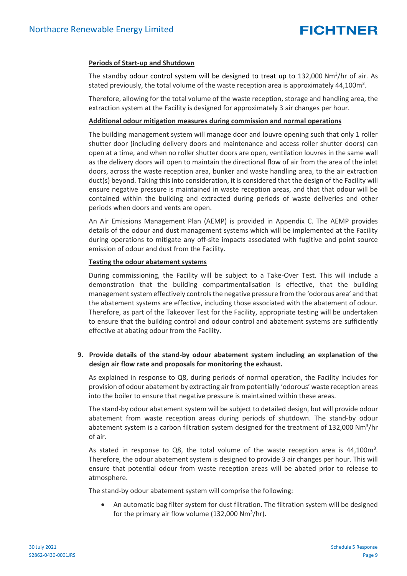#### **Periods of Start-up and Shutdown**

The standby odour control system will be designed to treat up to 132,000 Nm<sup>3</sup>/hr of air. As stated previously, the total volume of the waste reception area is approximately 44,100 $m^3$ .

Therefore, allowing for the total volume of the waste reception, storage and handling area, the extraction system at the Facility is designed for approximately 3 air changes per hour.

#### **Additional odour mitigation measures during commission and normal operations**

The building management system will manage door and louvre opening such that only 1 roller shutter door (including delivery doors and maintenance and access roller shutter doors) can open at a time, and when no roller shutter doors are open, ventilation louvres in the same wall as the delivery doors will open to maintain the directional flow of air from the area of the inlet doors, across the waste reception area, bunker and waste handling area, to the air extraction duct(s) beyond. Taking this into consideration, it is considered that the design of the Facility will ensure negative pressure is maintained in waste reception areas, and that that odour will be contained within the building and extracted during periods of waste deliveries and other periods when doors and vents are open.

An Air Emissions Management Plan (AEMP) is provided in Appendix [C.](#page-19-0) The AEMP provides details of the odour and dust management systems which will be implemented at the Facility during operations to mitigate any off-site impacts associated with fugitive and point source emission of odour and dust from the Facility.

#### **Testing the odour abatement systems**

During commissioning, the Facility will be subject to a Take-Over Test. This will include a demonstration that the building compartmentalisation is effective, that the building management system effectively controls the negative pressure from the 'odorous area' and that the abatement systems are effective, including those associated with the abatement of odour. Therefore, as part of the Takeover Test for the Facility, appropriate testing will be undertaken to ensure that the building control and odour control and abatement systems are sufficiently effective at abating odour from the Facility.

#### **9. Provide details of the stand-by odour abatement system including an explanation of the design air flow rate and proposals for monitoring the exhaust.**

As explained in response to Q8, during periods of normal operation, the Facility includes for provision of odour abatement by extracting air from potentially 'odorous' waste reception areas into the boiler to ensure that negative pressure is maintained within these areas.

The stand-by odour abatement system will be subject to detailed design, but will provide odour abatement from waste reception areas during periods of shutdown. The stand-by odour abatement system is a carbon filtration system designed for the treatment of 132,000 Nm<sup>3</sup>/hr of air.

As stated in response to Q8, the total volume of the waste reception area is  $44,100\mathrm{m}^3$ . Therefore, the odour abatement system is designed to provide 3 air changes per hour. This will ensure that potential odour from waste reception areas will be abated prior to release to atmosphere.

The stand-by odour abatement system will comprise the following:

• An automatic bag filter system for dust filtration. The filtration system will be designed for the primary air flow volume (132,000  $Nm^3/hr$ ).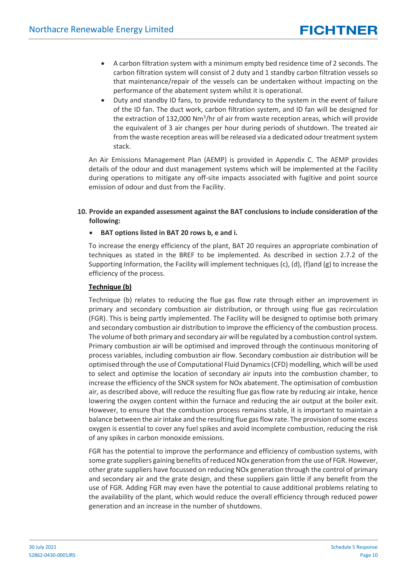- A carbon filtration system with a minimum empty bed residence time of 2 seconds. The carbon filtration system will consist of 2 duty and 1 standby carbon filtration vessels so that maintenance/repair of the vessels can be undertaken without impacting on the performance of the abatement system whilst it is operational.
- Duty and standby ID fans, to provide redundancy to the system in the event of failure of the ID fan. The duct work, carbon filtration system, and ID fan will be designed for the extraction of 132,000 Nm<sup>3</sup>/hr of air from waste reception areas, which will provide the equivalent of 3 air changes per hour during periods of shutdown. The treated air from the waste reception areas will be released via a dedicated odour treatment system stack.

An Air Emissions Management Plan (AEMP) is provided in Appendix [C.](#page-19-0) The AEMP provides details of the odour and dust management systems which will be implemented at the Facility during operations to mitigate any off-site impacts associated with fugitive and point source emission of odour and dust from the Facility.

#### **10. Provide an expanded assessment against the BAT conclusions to include consideration of the following:**

#### • **BAT options listed in BAT 20 rows b, e and i.**

To increase the energy efficiency of the plant, BAT 20 requires an appropriate combination of techniques as stated in the BREF to be implemented. As described in section 2.7.2 of the Supporting Information, the Facility will implement techniques (c), (d), (f)and (g) to increase the efficiency of the process.

#### **Technique (b)**

Technique (b) relates to reducing the flue gas flow rate through either an improvement in primary and secondary combustion air distribution, or through using flue gas recirculation (FGR). This is being partly implemented. The Facility will be designed to optimise both primary and secondary combustion air distribution to improve the efficiency of the combustion process. The volume of both primary and secondary air will be regulated by a combustion controlsystem. Primary combustion air will be optimised and improved through the continuous monitoring of process variables, including combustion air flow. Secondary combustion air distribution will be optimised through the use of Computational Fluid Dynamics(CFD) modelling, which will be used to select and optimise the location of secondary air inputs into the combustion chamber, to increase the efficiency of the SNCR system for NOx abatement. The optimisation of combustion air, as described above, will reduce the resulting flue gas flow rate by reducing air intake, hence lowering the oxygen content within the furnace and reducing the air output at the boiler exit. However, to ensure that the combustion process remains stable, it is important to maintain a balance between the air intake and the resulting flue gas flow rate. The provision of some excess oxygen is essential to cover any fuel spikes and avoid incomplete combustion, reducing the risk of any spikes in carbon monoxide emissions.

FGR has the potential to improve the performance and efficiency of combustion systems, with some grate suppliers gaining benefits of reduced NOx generation from the use of FGR. However, other grate suppliers have focussed on reducing NOx generation through the control of primary and secondary air and the grate design, and these suppliers gain little if any benefit from the use of FGR. Adding FGR may even have the potential to cause additional problems relating to the availability of the plant, which would reduce the overall efficiency through reduced power generation and an increase in the number of shutdowns.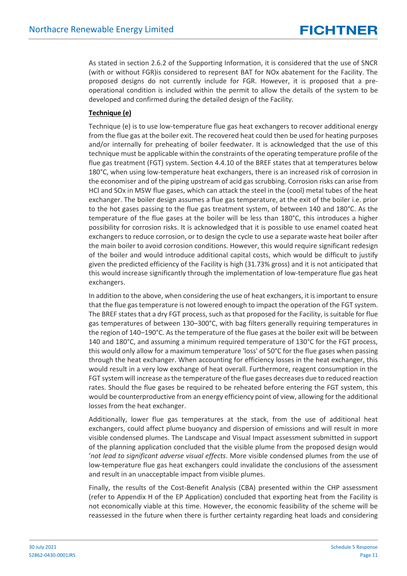As stated in section 2.6.2 of the Supporting Information, it is considered that the use of SNCR (with or without FGR)is considered to represent BAT for NOx abatement for the Facility. The proposed designs do not currently include for FGR. However, it is proposed that a preoperational condition is included within the permit to allow the details of the system to be developed and confirmed during the detailed design of the Facility.

#### **Technique (e)**

Technique (e) is to use low-temperature flue gas heat exchangers to recover additional energy from the flue gas at the boiler exit. The recovered heat could then be used for heating purposes and/or internally for preheating of boiler feedwater. It is acknowledged that the use of this technique must be applicable within the constraints of the operating temperature profile of the flue gas treatment (FGT) system. Section 4.4.10 of the BREF states that at temperatures below 180°C, when using low-temperature heat exchangers, there is an increased risk of corrosion in the economiser and of the piping upstream of acid gas scrubbing. Corrosion risks can arise from HCl and SOx in MSW flue gases, which can attack the steel in the (cool) metal tubes of the heat exchanger. The boiler design assumes a flue gas temperature, at the exit of the boiler i.e. prior to the hot gases passing to the flue gas treatment system, of between 140 and 180°C. As the temperature of the flue gases at the boiler will be less than 180°C, this introduces a higher possibility for corrosion risks. It is acknowledged that it is possible to use enamel coated heat exchangers to reduce corrosion, or to design the cycle to use a separate waste heat boiler after the main boiler to avoid corrosion conditions. However, this would require significant redesign of the boiler and would introduce additional capital costs, which would be difficult to justify given the predicted efficiency of the Facility is high (31.73% gross) and it is not anticipated that this would increase significantly through the implementation of low-temperature flue gas heat exchangers.

In addition to the above, when considering the use of heat exchangers, it is important to ensure that the flue gas temperature is not lowered enough to impact the operation of the FGT system. The BREF states that a dry FGT process, such as that proposed for the Facility, is suitable for flue gas temperatures of between 130–300°C, with bag filters generally requiring temperatures in the region of 140–190°C. As the temperature of the flue gases at the boiler exit will be between 140 and 180°C, and assuming a minimum required temperature of 130°C for the FGT process, this would only allow for a maximum temperature 'loss' of 50°C for the flue gases when passing through the heat exchanger. When accounting for efficiency losses in the heat exchanger, this would result in a very low exchange of heat overall. Furthermore, reagent consumption in the FGT system will increase as the temperature of the flue gases decreases due to reduced reaction rates. Should the flue gases be required to be reheated before entering the FGT system, this would be counterproductive from an energy efficiency point of view, allowing for the additional losses from the heat exchanger.

Additionally, lower flue gas temperatures at the stack, from the use of additional heat exchangers, could affect plume buoyancy and dispersion of emissions and will result in more visible condensed plumes. The Landscape and Visual Impact assessment submitted in support of the planning application concluded that the visible plume from the proposed design would '*not lead to significant adverse visual effects*. More visible condensed plumes from the use of low-temperature flue gas heat exchangers could invalidate the conclusions of the assessment and result in an unacceptable impact from visible plumes.

Finally, the results of the Cost-Benefit Analysis (CBA) presented within the CHP assessment (refer to Appendix H of the EP Application) concluded that exporting heat from the Facility is not economically viable at this time. However, the economic feasibility of the scheme will be reassessed in the future when there is further certainty regarding heat loads and considering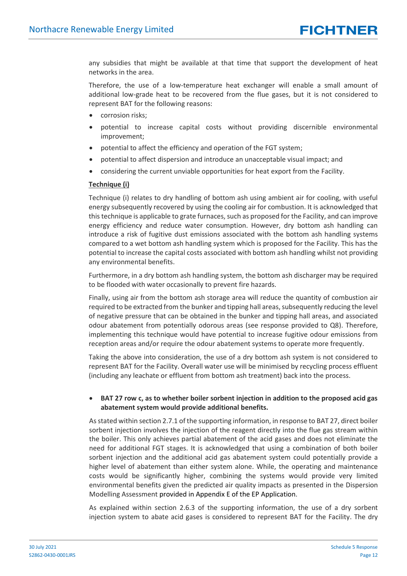any subsidies that might be available at that time that support the development of heat networks in the area.

Therefore, the use of a low-temperature heat exchanger will enable a small amount of additional low-grade heat to be recovered from the flue gases, but it is not considered to represent BAT for the following reasons:

- corrosion risks;
- potential to increase capital costs without providing discernible environmental improvement;
- potential to affect the efficiency and operation of the FGT system;
- potential to affect dispersion and introduce an unacceptable visual impact; and
- considering the current unviable opportunities for heat export from the Facility.

#### **Technique (i)**

Technique (i) relates to dry handling of bottom ash using ambient air for cooling, with useful energy subsequently recovered by using the cooling air for combustion. It is acknowledged that this technique is applicable to grate furnaces, such as proposed for the Facility, and can improve energy efficiency and reduce water consumption. However, dry bottom ash handling can introduce a risk of fugitive dust emissions associated with the bottom ash handling systems compared to a wet bottom ash handling system which is proposed for the Facility. This has the potential to increase the capital costs associated with bottom ash handling whilst not providing any environmental benefits.

Furthermore, in a dry bottom ash handling system, the bottom ash discharger may be required to be flooded with water occasionally to prevent fire hazards.

Finally, using air from the bottom ash storage area will reduce the quantity of combustion air required to be extracted from the bunker and tipping hall areas, subsequently reducing the level of negative pressure that can be obtained in the bunker and tipping hall areas, and associated odour abatement from potentially odorous areas (see response provided to Q8). Therefore, implementing this technique would have potential to increase fugitive odour emissions from reception areas and/or require the odour abatement systems to operate more frequently.

Taking the above into consideration, the use of a dry bottom ash system is not considered to represent BAT for the Facility. Overall water use will be minimised by recycling process effluent (including any leachate or effluent from bottom ash treatment) back into the process.

#### • **BAT 27 row c, as to whether boiler sorbent injection in addition to the proposed acid gas abatement system would provide additional benefits.**

As stated within section 2.7.1 of the supporting information, in response to BAT 27, direct boiler sorbent injection involves the injection of the reagent directly into the flue gas stream within the boiler. This only achieves partial abatement of the acid gases and does not eliminate the need for additional FGT stages. It is acknowledged that using a combination of both boiler sorbent injection and the additional acid gas abatement system could potentially provide a higher level of abatement than either system alone. While, the operating and maintenance costs would be significantly higher, combining the systems would provide very limited environmental benefits given the predicted air quality impacts as presented in the Dispersion Modelling Assessment provided in Appendix E of the EP Application.

As explained within section 2.6.3 of the supporting information, the use of a dry sorbent injection system to abate acid gases is considered to represent BAT for the Facility. The dry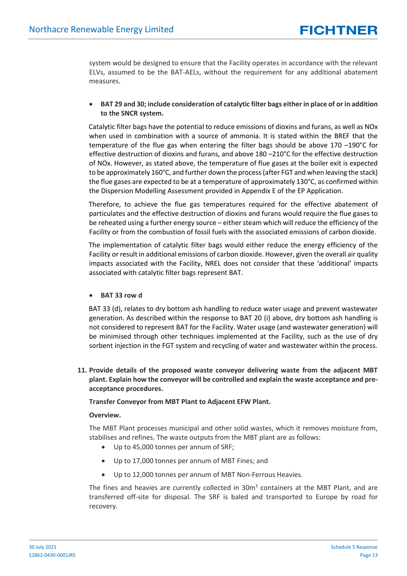system would be designed to ensure that the Facility operates in accordance with the relevant ELVs, assumed to be the BAT-AELs, without the requirement for any additional abatement measures.

• **BAT 29 and 30; include consideration of catalytic filter bags either in place of or in addition to the SNCR system.** 

Catalytic filter bags have the potential to reduce emissions of dioxins and furans, as well as NOx when used in combination with a source of ammonia. It is stated within the BREF that the temperature of the flue gas when entering the filter bags should be above 170 –190°C for effective destruction of dioxins and furans, and above 180 –210°C for the effective destruction of NOx. However, as stated above, the temperature of flue gases at the boiler exit is expected to be approximately 160°C, and further down the process (after FGT and when leaving the stack) the flue gases are expected to be at a temperature of approximately 130°C, as confirmed within the Dispersion Modelling Assessment provided in Appendix E of the EP Application.

Therefore, to achieve the flue gas temperatures required for the effective abatement of particulates and the effective destruction of dioxins and furans would require the flue gases to be reheated using a further energy source – either steam which will reduce the efficiency of the Facility or from the combustion of fossil fuels with the associated emissions of carbon dioxide.

The implementation of catalytic filter bags would either reduce the energy efficiency of the Facility or result in additional emissions of carbon dioxide. However, given the overall air quality impacts associated with the Facility, NREL does not consider that these 'additional' impacts associated with catalytic filter bags represent BAT.

#### • **BAT 33 row d**

BAT 33 (d), relates to dry bottom ash handling to reduce water usage and prevent wastewater generation. As described within the response to BAT 20 (i) above, dry bottom ash handling is not considered to represent BAT for the Facility. Water usage (and wastewater generation) will be minimised through other techniques implemented at the Facility, such as the use of dry sorbent injection in the FGT system and recycling of water and wastewater within the process.

**11. Provide details of the proposed waste conveyor delivering waste from the adjacent MBT plant. Explain how the conveyor will be controlled and explain the waste acceptance and preacceptance procedures.**

#### **Transfer Conveyor from MBT Plant to Adjacent EFW Plant.**

#### **Overview.**

The MBT Plant processes municipal and other solid wastes, which it removes moisture from, stabilises and refines. The waste outputs from the MBT plant are as follows:

- Up to 45,000 tonnes per annum of SRF;
- Up to 17,000 tonnes per annum of MBT Fines; and
- Up to 12,000 tonnes per annum of MBT Non-Ferrous Heavies.

The fines and heavies are currently collected in  $30m<sup>3</sup>$  containers at the MBT Plant, and are transferred off-site for disposal. The SRF is baled and transported to Europe by road for recovery.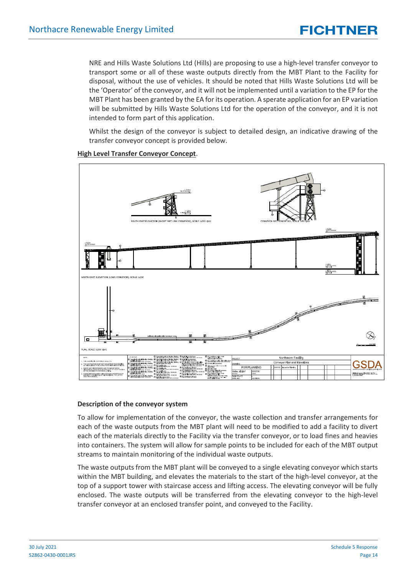NRE and Hills Waste Solutions Ltd (Hills) are proposing to use a high-level transfer conveyor to transport some or all of these waste outputs directly from the MBT Plant to the Facility for disposal, without the use of vehicles. It should be noted that Hills Waste Solutions Ltd will be the 'Operator' of the conveyor, and it will not be implemented until a variation to the EP for the MBT Plant has been granted by the EA for its operation. A sperate application for an EP variation will be submitted by Hills Waste Solutions Ltd for the operation of the conveyor, and it is not intended to form part of this application.

Whilst the design of the conveyor is subject to detailed design, an indicative drawing of the transfer conveyor concept is provided below.



#### **High Level Transfer Conveyor Concept**.

#### **Description of the conveyor system**

To allow for implementation of the conveyor, the waste collection and transfer arrangements for each of the waste outputs from the MBT plant will need to be modified to add a facility to divert each of the materials directly to the Facility via the transfer conveyor, or to load fines and heavies into containers. The system will allow for sample points to be included for each of the MBT output streams to maintain monitoring of the individual waste outputs.

The waste outputs from the MBT plant will be conveyed to a single elevating conveyor which starts within the MBT building, and elevates the materials to the start of the high-level conveyor, at the top of a support tower with staircase access and lifting access. The elevating conveyor will be fully enclosed. The waste outputs will be transferred from the elevating conveyor to the high-level transfer conveyor at an enclosed transfer point, and conveyed to the Facility.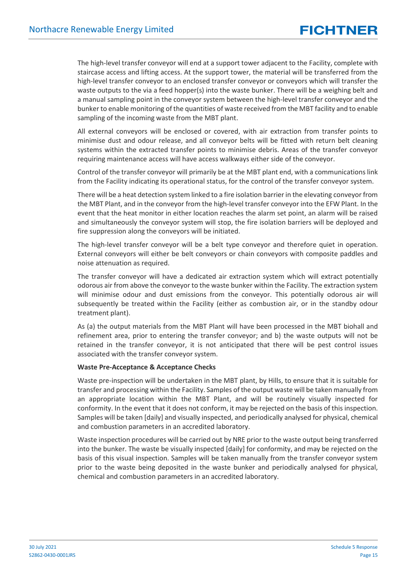The high-level transfer conveyor will end at a support tower adjacent to the Facility, complete with staircase access and lifting access. At the support tower, the material will be transferred from the high-level transfer conveyor to an enclosed transfer conveyor or conveyors which will transfer the waste outputs to the via a feed hopper(s) into the waste bunker. There will be a weighing belt and a manual sampling point in the conveyor system between the high-level transfer conveyor and the bunker to enable monitoring of the quantities of waste received from the MBT facility and to enable sampling of the incoming waste from the MBT plant.

All external conveyors will be enclosed or covered, with air extraction from transfer points to minimise dust and odour release, and all conveyor belts will be fitted with return belt cleaning systems within the extracted transfer points to minimise debris. Areas of the transfer conveyor requiring maintenance access will have access walkways either side of the conveyor.

Control of the transfer conveyor will primarily be at the MBT plant end, with a communications link from the Facility indicating its operational status, for the control of the transfer conveyor system.

There will be a heat detection system linked to a fire isolation barrier in the elevating conveyor from the MBT Plant, and in the conveyor from the high-level transfer conveyor into the EFW Plant. In the event that the heat monitor in either location reaches the alarm set point, an alarm will be raised and simultaneously the conveyor system will stop, the fire isolation barriers will be deployed and fire suppression along the conveyors will be initiated.

The high-level transfer conveyor will be a belt type conveyor and therefore quiet in operation. External conveyors will either be belt conveyors or chain conveyors with composite paddles and noise attenuation as required.

The transfer conveyor will have a dedicated air extraction system which will extract potentially odorous air from above the conveyor to the waste bunker within the Facility. The extraction system will minimise odour and dust emissions from the conveyor. This potentially odorous air will subsequently be treated within the Facility (either as combustion air, or in the standby odour treatment plant).

As (a) the output materials from the MBT Plant will have been processed in the MBT biohall and refinement area, prior to entering the transfer conveyor; and b) the waste outputs will not be retained in the transfer conveyor, it is not anticipated that there will be pest control issues associated with the transfer conveyor system.

#### **Waste Pre-Acceptance & Acceptance Checks**

Waste pre-inspection will be undertaken in the MBT plant, by Hills, to ensure that it is suitable for transfer and processing within the Facility. Samples of the output waste will be taken manually from an appropriate location within the MBT Plant, and will be routinely visually inspected for conformity. In the event that it does not conform, it may be rejected on the basis of this inspection. Samples will be taken [daily] and visually inspected, and periodically analysed for physical, chemical and combustion parameters in an accredited laboratory.

Waste inspection procedures will be carried out by NRE prior to the waste output being transferred into the bunker. The waste be visually inspected [daily] for conformity, and may be rejected on the basis of this visual inspection. Samples will be taken manually from the transfer conveyor system prior to the waste being deposited in the waste bunker and periodically analysed for physical, chemical and combustion parameters in an accredited laboratory.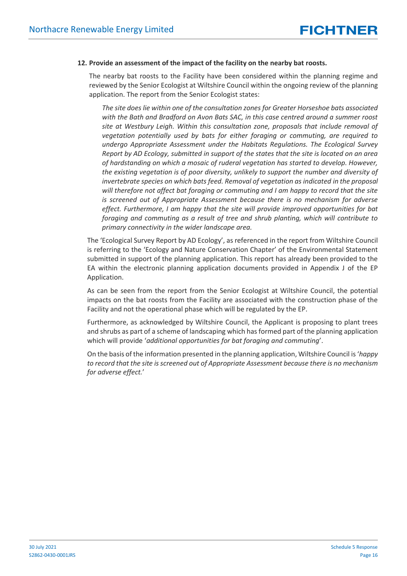#### **12. Provide an assessment of the impact of the facility on the nearby bat roosts.**

The nearby bat roosts to the Facility have been considered within the planning regime and reviewed by the Senior Ecologist at Wiltshire Council within the ongoing review of the planning application. The report from the Senior Ecologist states:

*The site does lie within one of the consultation zones for Greater Horseshoe bats associated with the Bath and Bradford on Avon Bats SAC, in this case centred around a summer roost site at Westbury Leigh. Within this consultation zone, proposals that include removal of vegetation potentially used by bats for either foraging or commuting, are required to undergo Appropriate Assessment under the Habitats Regulations. The Ecological Survey Report by AD Ecology, submitted in support of the states that the site is located on an area of hardstanding on which a mosaic of ruderal vegetation has started to develop. However, the existing vegetation is of poor diversity, unlikely to support the number and diversity of invertebrate species on which bats feed. Removal of vegetation as indicated in the proposal will therefore not affect bat foraging or commuting and I am happy to record that the site is screened out of Appropriate Assessment because there is no mechanism for adverse effect. Furthermore, I am happy that the site will provide improved opportunities for bat foraging and commuting as a result of tree and shrub planting, which will contribute to primary connectivity in the wider landscape area.*

The 'Ecological Survey Report by AD Ecology', as referenced in the report from Wiltshire Council is referring to the 'Ecology and Nature Conservation Chapter' of the Environmental Statement submitted in support of the planning application. This report has already been provided to the EA within the electronic planning application documents provided in Appendix J of the EP Application.

As can be seen from the report from the Senior Ecologist at Wiltshire Council, the potential impacts on the bat roosts from the Facility are associated with the construction phase of the Facility and not the operational phase which will be regulated by the EP.

Furthermore, as acknowledged by Wiltshire Council, the Applicant is proposing to plant trees and shrubs as part of a scheme of landscaping which has formed part of the planning application which will provide '*additional opportunities for bat foraging and commuting*'.

On the basis of the information presented in the planning application, Wiltshire Council is '*happy to record that the site is screened out of Appropriate Assessment because there is no mechanism for adverse effect.*'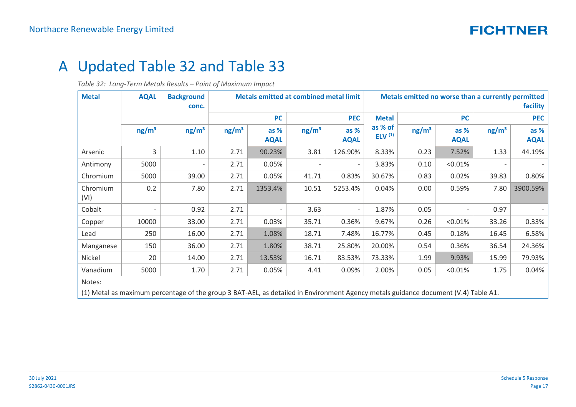## A Updated Table 32 and Table 33

*Table 32: Long-Term Metals Results – Point of Maximum Impact*

<span id="page-16-0"></span>

| <b>Metal</b>     | <b>AQAL</b>       | <b>Background</b><br>conc.                                                                                                         | <b>Metals emitted at combined metal limit</b> |                     |                   |                       | Metals emitted no worse than a currently permitted<br>facility |                   |                     |                   |                     |  |
|------------------|-------------------|------------------------------------------------------------------------------------------------------------------------------------|-----------------------------------------------|---------------------|-------------------|-----------------------|----------------------------------------------------------------|-------------------|---------------------|-------------------|---------------------|--|
|                  |                   |                                                                                                                                    |                                               | <b>PC</b>           |                   | <b>PEC</b>            |                                                                | <b>PC</b>         |                     | <b>PEC</b>        |                     |  |
|                  | ng/m <sup>3</sup> | ng/m <sup>3</sup>                                                                                                                  | ng/m <sup>3</sup>                             | as %<br><b>AQAL</b> | ng/m <sup>3</sup> | $as %$<br><b>AQAL</b> | as % of<br>ELV $(1)$                                           | ng/m <sup>3</sup> | as %<br><b>AQAL</b> | ng/m <sup>3</sup> | as %<br><b>AQAL</b> |  |
| Arsenic          | 3                 | 1.10                                                                                                                               | 2.71                                          | 90.23%              | 3.81              | 126.90%               | 8.33%                                                          | 0.23              | 7.52%               | 1.33              | 44.19%              |  |
| Antimony         | 5000              |                                                                                                                                    | 2.71                                          | 0.05%               |                   |                       | 3.83%                                                          | 0.10              | < 0.01%             |                   |                     |  |
| Chromium         | 5000              | 39.00                                                                                                                              | 2.71                                          | 0.05%               | 41.71             | 0.83%                 | 30.67%                                                         | 0.83              | 0.02%               | 39.83             | 0.80%               |  |
| Chromium<br>(VI) | 0.2               | 7.80                                                                                                                               | 2.71                                          | 1353.4%             | 10.51             | 5253.4%               | 0.04%                                                          | 0.00              | 0.59%               | 7.80              | 3900.59%            |  |
| Cobalt           |                   | 0.92                                                                                                                               | 2.71                                          |                     | 3.63              |                       | 1.87%                                                          | 0.05              |                     | 0.97              |                     |  |
| Copper           | 10000             | 33.00                                                                                                                              | 2.71                                          | 0.03%               | 35.71             | 0.36%                 | 9.67%                                                          | 0.26              | < 0.01%             | 33.26             | 0.33%               |  |
| Lead             | 250               | 16.00                                                                                                                              | 2.71                                          | 1.08%               | 18.71             | 7.48%                 | 16.77%                                                         | 0.45              | 0.18%               | 16.45             | 6.58%               |  |
| Manganese        | 150               | 36.00                                                                                                                              | 2.71                                          | 1.80%               | 38.71             | 25.80%                | 20.00%                                                         | 0.54              | 0.36%               | 36.54             | 24.36%              |  |
| Nickel           | 20                | 14.00                                                                                                                              | 2.71                                          | 13.53%              | 16.71             | 83.53%                | 73.33%                                                         | 1.99              | 9.93%               | 15.99             | 79.93%              |  |
| Vanadium         | 5000              | 1.70                                                                                                                               | 2.71                                          | 0.05%               | 4.41              | 0.09%                 | 2.00%                                                          | 0.05              | < 0.01%             | 1.75              | 0.04%               |  |
| Notes:           |                   | (1) Metal as maximum percentage of the group 3 BAT-AEL, as detailed in Environment Agency metals guidance document (V.4) Table A1. |                                               |                     |                   |                       |                                                                |                   |                     |                   |                     |  |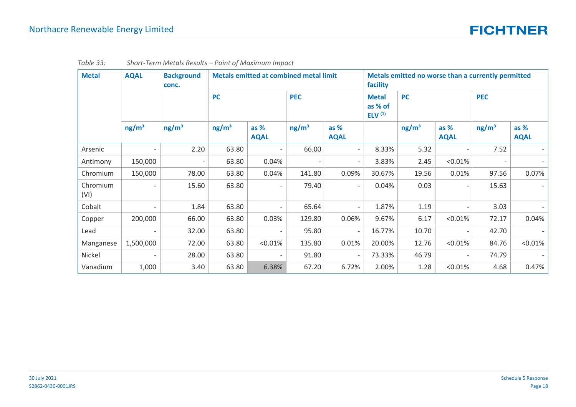| <b>Metal</b>     | <b>AQAL</b>              |                   | <b>Background</b><br>conc. |                          | <b>Metals emitted at combined metal limit</b> |                          |                                      | facility          |                     | Metals emitted no worse than a currently permitted |                       |  |
|------------------|--------------------------|-------------------|----------------------------|--------------------------|-----------------------------------------------|--------------------------|--------------------------------------|-------------------|---------------------|----------------------------------------------------|-----------------------|--|
|                  |                          |                   | <b>PC</b>                  |                          | <b>PEC</b>                                    |                          | <b>Metal</b><br>as % of<br>ELV $(1)$ | <b>PC</b>         |                     | <b>PEC</b>                                         |                       |  |
|                  | ng/m <sup>3</sup>        | ng/m <sup>3</sup> | ng/m <sup>3</sup>          | as %<br><b>AQAL</b>      | ng/m <sup>3</sup>                             | as %<br><b>AQAL</b>      |                                      | ng/m <sup>3</sup> | as %<br><b>AQAL</b> | ng/m <sup>3</sup>                                  | $as %$<br><b>AQAL</b> |  |
| Arsenic          |                          | 2.20              | 63.80                      | $\overline{\phantom{a}}$ | 66.00                                         | $\overline{\phantom{a}}$ | 8.33%                                | 5.32              |                     | 7.52                                               |                       |  |
| Antimony         | 150,000                  |                   | 63.80                      | 0.04%                    | $\overline{\phantom{a}}$                      | $\overline{\phantom{a}}$ | 3.83%                                | 2.45              | $< 0.01\%$          |                                                    |                       |  |
| Chromium         | 150,000                  | 78.00             | 63.80                      | 0.04%                    | 141.80                                        | 0.09%                    | 30.67%                               | 19.56             | 0.01%               | 97.56                                              | 0.07%                 |  |
| Chromium<br>(VI) |                          | 15.60             | 63.80                      | $\overline{\phantom{a}}$ | 79.40                                         | $\overline{\phantom{a}}$ | 0.04%                                | 0.03              |                     | 15.63                                              |                       |  |
| Cobalt           | $\overline{\phantom{a}}$ | 1.84              | 63.80                      | $\overline{\phantom{a}}$ | 65.64                                         | $\overline{\phantom{a}}$ | 1.87%                                | 1.19              |                     | 3.03                                               |                       |  |
| Copper           | 200,000                  | 66.00             | 63.80                      | 0.03%                    | 129.80                                        | 0.06%                    | 9.67%                                | 6.17              | < 0.01%             | 72.17                                              | 0.04%                 |  |
| Lead             | $\overline{\phantom{a}}$ | 32.00             | 63.80                      | $\overline{\phantom{a}}$ | 95.80                                         | $\overline{\phantom{a}}$ | 16.77%                               | 10.70             |                     | 42.70                                              |                       |  |
| Manganese        | 1,500,000                | 72.00             | 63.80                      | < 0.01%                  | 135.80                                        | 0.01%                    | 20.00%                               | 12.76             | < 0.01%             | 84.76                                              | < 0.01%               |  |
| Nickel           |                          | 28.00             | 63.80                      |                          | 91.80                                         |                          | 73.33%                               | 46.79             |                     | 74.79                                              |                       |  |
| Vanadium         | 1,000                    | 3.40              | 63.80                      | 6.38%                    | 67.20                                         | 6.72%                    | 2.00%                                | 1.28              | < 0.01%             | 4.68                                               | 0.47%                 |  |

| Table 33: | Short-Term Metals Results - Point of Maximum Impact |  |  |  |  |  |  |
|-----------|-----------------------------------------------------|--|--|--|--|--|--|
|-----------|-----------------------------------------------------|--|--|--|--|--|--|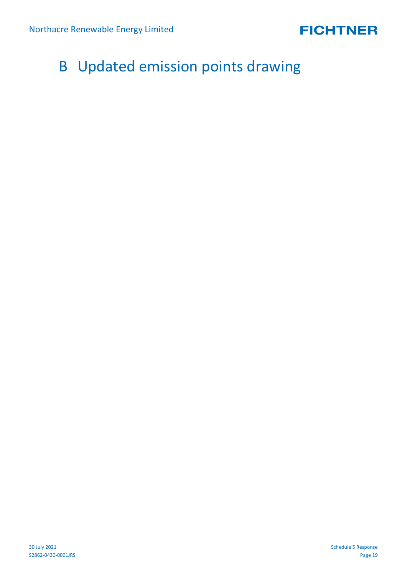## <span id="page-18-0"></span>B Updated emission points drawing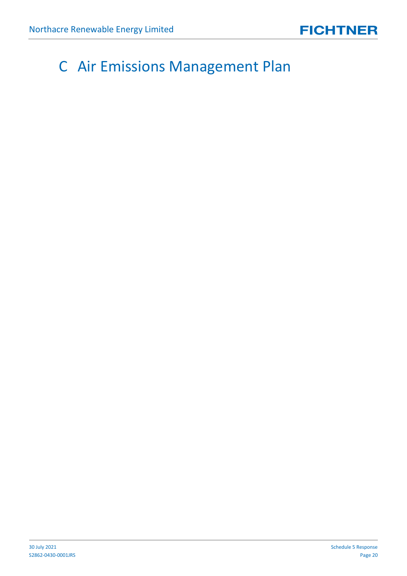## <span id="page-19-0"></span>C Air Emissions Management Plan